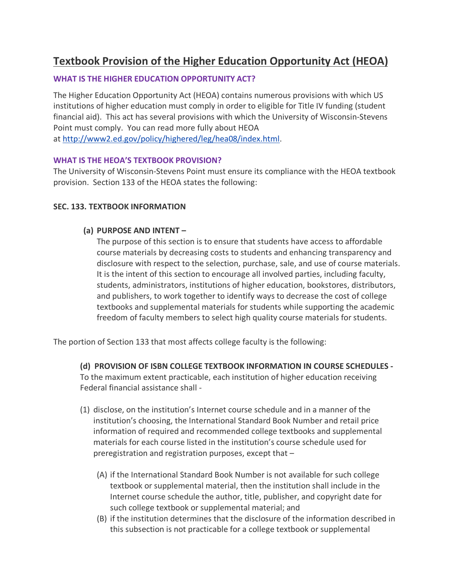## **Textbook Provision of the Higher Education Opportunity Act (HEOA)**

#### **WHAT IS THE HIGHER EDUCATION OPPORTUNITY ACT?**

The Higher Education Opportunity Act (HEOA) contains numerous provisions with which US institutions of higher education must comply in order to eligible for Title IV funding (student financial aid). This act has several provisions with which the University of Wisconsin-Stevens Point must comply. You can read more fully about HEOA at [http://www2.ed.gov/policy/highered/leg/hea08/index.html.](http://www2.ed.gov/policy/highered/leg/hea08/index.html)

#### **WHAT IS THE HEOA'S TEXTBOOK PROVISION?**

The University of Wisconsin-Stevens Point must ensure its compliance with the HEOA textbook provision. Section 133 of the HEOA states the following:

#### **SEC. 133. TEXTBOOK INFORMATION**

#### **(a) PURPOSE AND INTENT –**

The purpose of this section is to ensure that students have access to affordable course materials by decreasing costs to students and enhancing transparency and disclosure with respect to the selection, purchase, sale, and use of course materials. It is the intent of this section to encourage all involved parties, including faculty, students, administrators, institutions of higher education, bookstores, distributors, and publishers, to work together to identify ways to decrease the cost of college textbooks and supplemental materials for students while supporting the academic freedom of faculty members to select high quality course materials for students.

The portion of Section 133 that most affects college faculty is the following:

#### **(d) PROVISION OF ISBN COLLEGE TEXTBOOK INFORMATION IN COURSE SCHEDULES -**

To the maximum extent practicable, each institution of higher education receiving Federal financial assistance shall -

- (1) disclose, on the institution's Internet course schedule and in a manner of the institution's choosing, the International Standard Book Number and retail price information of required and recommended college textbooks and supplemental materials for each course listed in the institution's course schedule used for preregistration and registration purposes, except that –
	- (A) if the International Standard Book Number is not available for such college textbook or supplemental material, then the institution shall include in the Internet course schedule the author, title, publisher, and copyright date for such college textbook or supplemental material; and
	- (B) if the institution determines that the disclosure of the information described in this subsection is not practicable for a college textbook or supplemental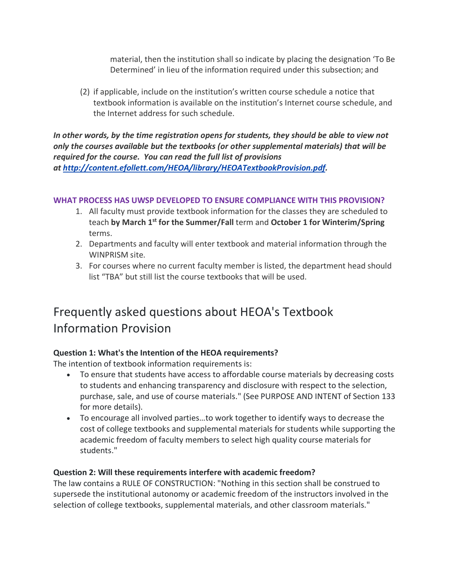material, then the institution shall so indicate by placing the designation 'To Be Determined' in lieu of the information required under this subsection; and

(2) if applicable, include on the institution's written course schedule a notice that textbook information is available on the institution's Internet course schedule, and the Internet address for such schedule.

*In other words, by the time registration opens for students, they should be able to view not only the courses available but the textbooks (or other supplemental materials) that will be required for the course. You can read the full list of provisions at [http://content.efollett.com/HEOA/library/HEOATextbookProvision.pdf.](http://content.efollett.com/HEOA/library/HEOATextbookProvision.pdf)*

#### **WHAT PROCESS HAS UWSP DEVELOPED TO ENSURE COMPLIANCE WITH THIS PROVISION?**

- 1. All faculty must provide textbook information for the classes they are scheduled to teach **by March 1st for the Summer/Fall** term and **October 1 for Winterim/Spring**  terms.
- 2. Departments and faculty will enter textbook and material information through the WINPRISM site.
- 3. For courses where no current faculty member is listed, the department head should list "TBA" but still list the course textbooks that will be used.

# Frequently asked questions about HEOA's Textbook Information Provision

#### **Question 1: What's the Intention of the HEOA requirements?**

The intention of textbook information requirements is:

- To ensure that students have access to affordable course materials by decreasing costs to students and enhancing transparency and disclosure with respect to the selection, purchase, sale, and use of course materials." (See PURPOSE AND INTENT of Section 133 for more details).
- To encourage all involved parties…to work together to identify ways to decrease the cost of college textbooks and supplemental materials for students while supporting the academic freedom of faculty members to select high quality course materials for students."

#### **Question 2: Will these requirements interfere with academic freedom?**

The law contains a RULE OF CONSTRUCTION: "Nothing in this section shall be construed to supersede the institutional autonomy or academic freedom of the instructors involved in the selection of college textbooks, supplemental materials, and other classroom materials."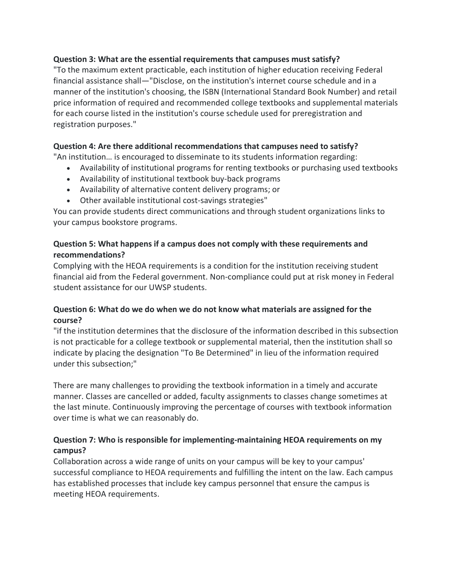#### **Question 3: What are the essential requirements that campuses must satisfy?**

"To the maximum extent practicable, each institution of higher education receiving Federal financial assistance shall—"Disclose, on the institution's internet course schedule and in a manner of the institution's choosing, the ISBN (International Standard Book Number) and retail price information of required and recommended college textbooks and supplemental materials for each course listed in the institution's course schedule used for preregistration and registration purposes."

#### **Question 4: Are there additional recommendations that campuses need to satisfy?**

"An institution… is encouraged to disseminate to its students information regarding:

- Availability of institutional programs for renting textbooks or purchasing used textbooks
- Availability of institutional textbook buy-back programs
- Availability of alternative content delivery programs; or
- Other available institutional cost-savings strategies"

You can provide students direct communications and through student organizations links to your campus bookstore programs.

#### **Question 5: What happens if a campus does not comply with these requirements and recommendations?**

Complying with the HEOA requirements is a condition for the institution receiving student financial aid from the Federal government. Non-compliance could put at risk money in Federal student assistance for our UWSP students.

#### **Question 6: What do we do when we do not know what materials are assigned for the course?**

"if the institution determines that the disclosure of the information described in this subsection is not practicable for a college textbook or supplemental material, then the institution shall so indicate by placing the designation "To Be Determined" in lieu of the information required under this subsection;"

There are many challenges to providing the textbook information in a timely and accurate manner. Classes are cancelled or added, faculty assignments to classes change sometimes at the last minute. Continuously improving the percentage of courses with textbook information over time is what we can reasonably do.

### **Question 7: Who is responsible for implementing-maintaining HEOA requirements on my campus?**

Collaboration across a wide range of units on your campus will be key to your campus' successful compliance to HEOA requirements and fulfilling the intent on the law. Each campus has established processes that include key campus personnel that ensure the campus is meeting HEOA requirements.